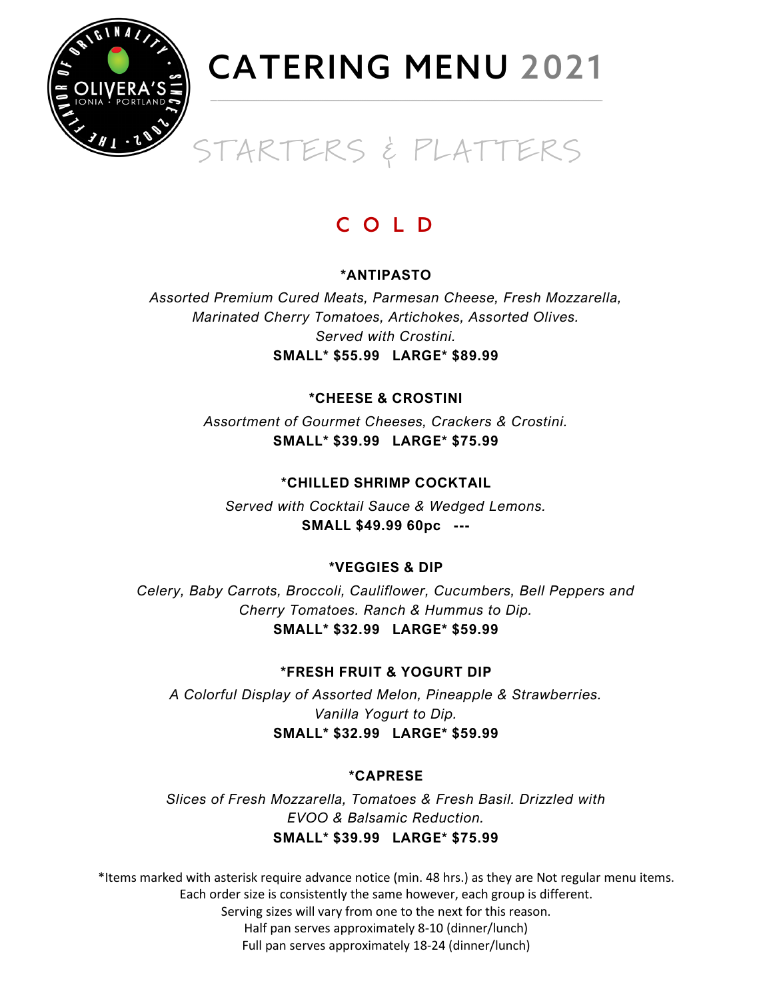

### $\overline{a}$ STARTERS & PLATTERS

### C O L D

### **\*ANTIPASTO**

*Assorted Premium Cured Meats, Parmesan Cheese, Fresh Mozzarella, Marinated Cherry Tomatoes, Artichokes, Assorted Olives. Served with Crostini.* **SMALL\* \$55.99 LARGE\* \$89.99**

### **\*CHEESE & CROSTINI**

*Assortment of Gourmet Cheeses, Crackers & Crostini.* **SMALL\* \$39.99 LARGE\* \$75.99**

### **\*CHILLED SHRIMP COCKTAIL**

*Served with Cocktail Sauce & Wedged Lemons.* **SMALL \$49.99 60pc ---**

### **\*VEGGIES & DIP**

*Celery, Baby Carrots, Broccoli, Cauliflower, Cucumbers, Bell Peppers and Cherry Tomatoes. Ranch & Hummus to Dip.* **SMALL\* \$32.99 LARGE\* \$59.99**

### **\*FRESH FRUIT & YOGURT DIP**

*A Colorful Display of Assorted Melon, Pineapple & Strawberries. Vanilla Yogurt to Dip.* **SMALL\* \$32.99 LARGE\* \$59.99**

### **\*CAPRESE**

*Slices of Fresh Mozzarella, Tomatoes & Fresh Basil. Drizzled with EVOO & Balsamic Reduction.* **SMALL\* \$39.99 LARGE\* \$75.99**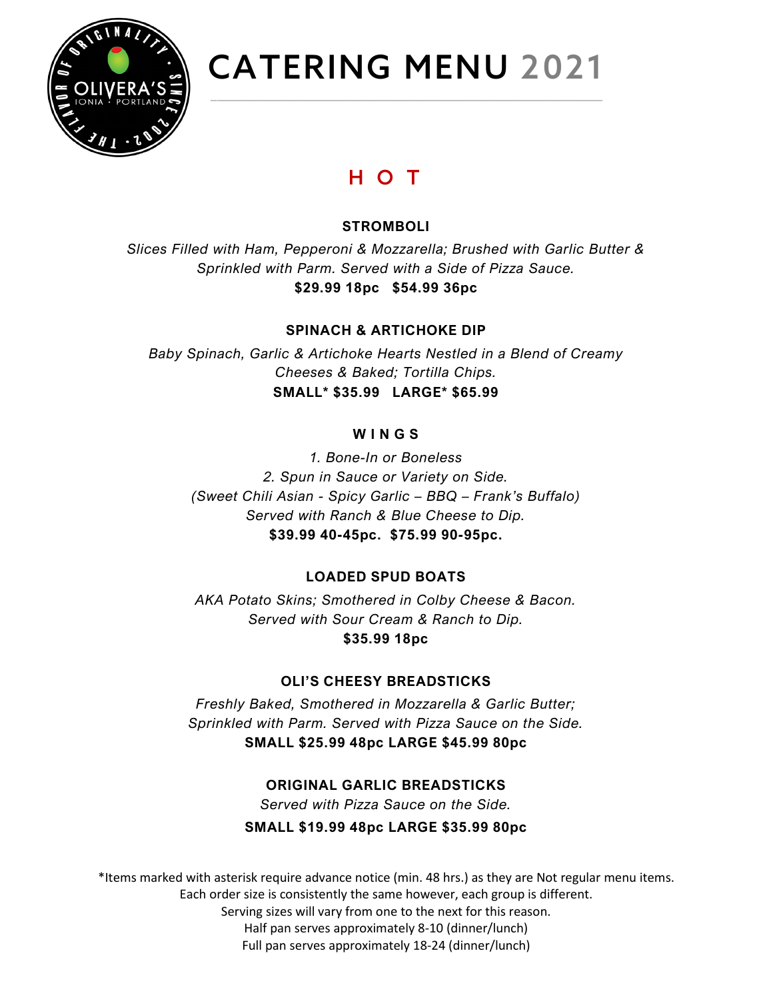

### H O T

### **STROMBOLI**

*Slices Filled with Ham, Pepperoni & Mozzarella; Brushed with Garlic Butter & Sprinkled with Parm. Served with a Side of Pizza Sauce.* **\$29.99 18pc \$54.99 36pc**

### **SPINACH & ARTICHOKE DIP**

*Baby Spinach, Garlic & Artichoke Hearts Nestled in a Blend of Creamy Cheeses & Baked; Tortilla Chips.* **SMALL\* \$35.99 LARGE\* \$65.99**

#### **W I N G S**

*1. Bone-In or Boneless 2. Spun in Sauce or Variety on Side. (Sweet Chili Asian - Spicy Garlic – BBQ – Frank's Buffalo) Served with Ranch & Blue Cheese to Dip.* **\$39.99 40-45pc. \$75.99 90-95pc.**

### **LOADED SPUD BOATS**

*AKA Potato Skins; Smothered in Colby Cheese & Bacon. Served with Sour Cream & Ranch to Dip.* **\$35.99 18pc**

### **OLI'S CHEESY BREADSTICKS**

*Freshly Baked, Smothered in Mozzarella & Garlic Butter; Sprinkled with Parm. Served with Pizza Sauce on the Side.* **SMALL \$25.99 48pc LARGE \$45.99 80pc**

### **ORIGINAL GARLIC BREADSTICKS**

*Served with Pizza Sauce on the Side.*

**SMALL \$19.99 48pc LARGE \$35.99 80pc**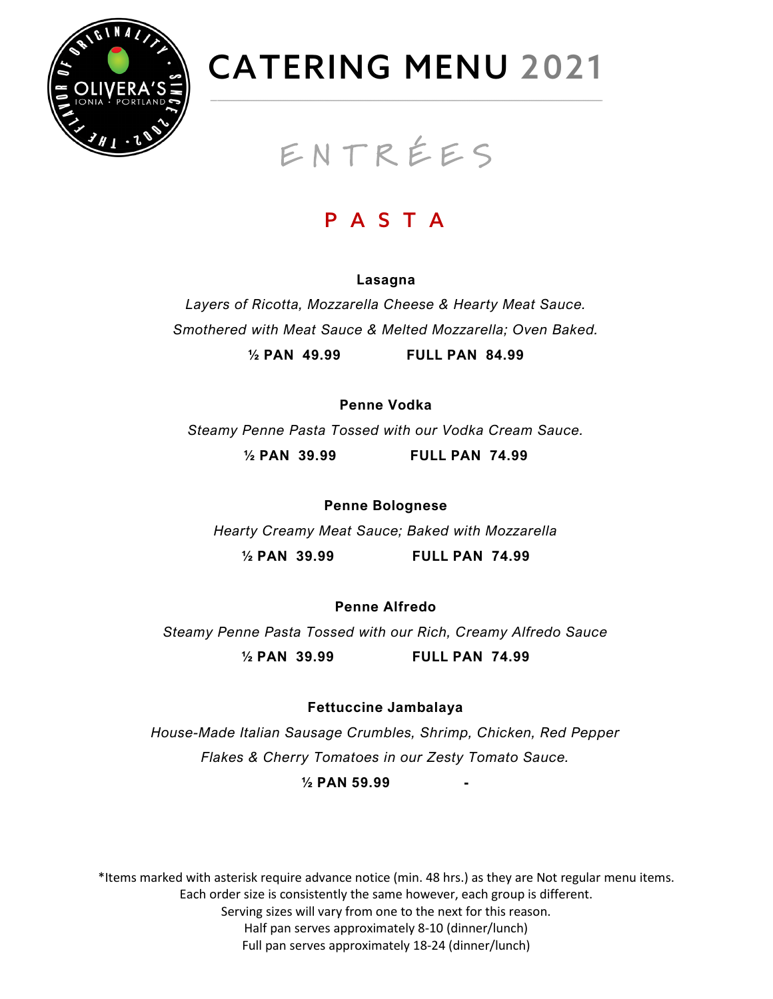

### E N T R É E S

### P A S T A

#### **Lasagna**

*Layers of Ricotta, Mozzarella Cheese & Hearty Meat Sauce. Smothered with Meat Sauce & Melted Mozzarella; Oven Baked.* **½ PAN 49.99 FULL PAN 84.99**

**Penne Vodka**

*Steamy Penne Pasta Tossed with our Vodka Cream Sauce.*

**½ PAN 39.99 FULL PAN 74.99**

**Penne Bolognese** *Hearty Creamy Meat Sauce; Baked with Mozzarella* **½ PAN 39.99 FULL PAN 74.99**

**Penne Alfredo**

*Steamy Penne Pasta Tossed with our Rich, Creamy Alfredo Sauce*

**½ PAN 39.99 FULL PAN 74.99**

**Fettuccine Jambalaya**

*House-Made Italian Sausage Crumbles, Shrimp, Chicken, Red Pepper Flakes & Cherry Tomatoes in our Zesty Tomato Sauce.*

**½ PAN 59.99 -**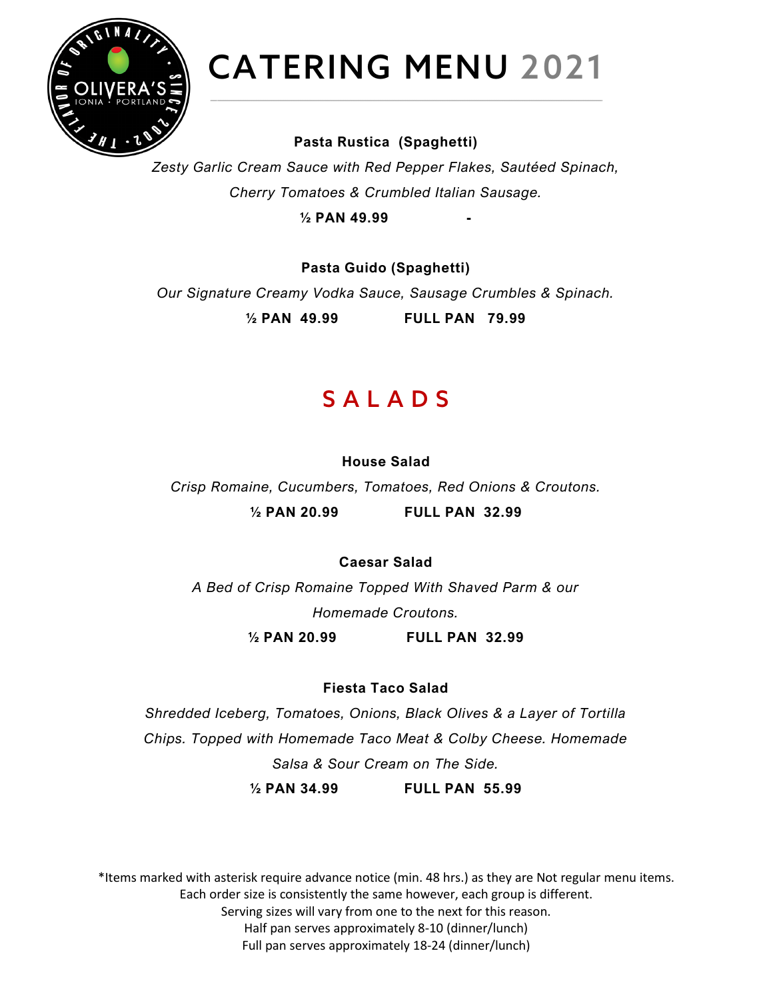

### **Pasta Rustica (Spaghetti)**

*Zesty Garlic Cream Sauce with Red Pepper Flakes, Sautéed Spinach, Cherry Tomatoes & Crumbled Italian Sausage.*

**½ PAN 49.99 -**

**Pasta Guido (Spaghetti)** *Our Signature Creamy Vodka Sauce, Sausage Crumbles & Spinach.*

**½ PAN 49.99 FULL PAN 79.99**

### S A L A D S

### **House Salad**

*Crisp Romaine, Cucumbers, Tomatoes, Red Onions & Croutons.* **½ PAN 20.99 FULL PAN 32.99**

### **Caesar Salad**

*A Bed of Crisp Romaine Topped With Shaved Parm & our Homemade Croutons.*

**½ PAN 20.99 FULL PAN 32.99**

### **Fiesta Taco Salad**

*Shredded Iceberg, Tomatoes, Onions, Black Olives & a Layer of Tortilla Chips. Topped with Homemade Taco Meat & Colby Cheese. Homemade Salsa & Sour Cream on The Side.*

**½ PAN 34.99 FULL PAN 55.99**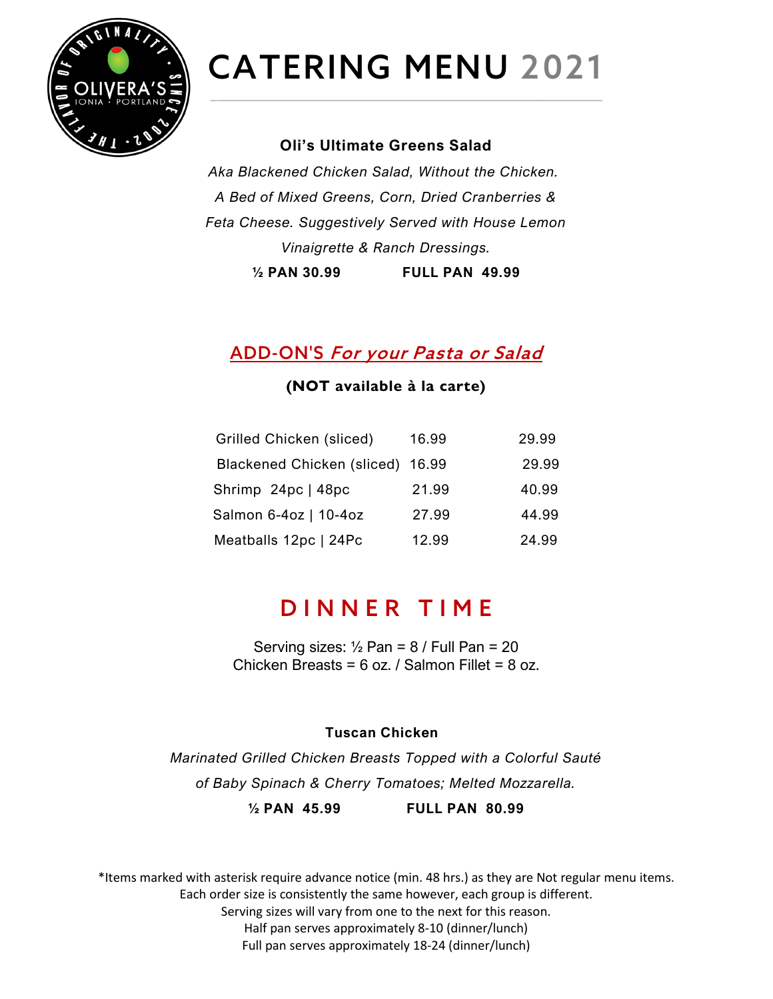

### **Oli's Ultimate Greens Salad**

*Aka Blackened Chicken Salad, Without the Chicken. A Bed of Mixed Greens, Corn, Dried Cranberries & Feta Cheese. Suggestively Served with House Lemon Vinaigrette & Ranch Dressings.*

**½ PAN 30.99 FULL PAN 49.99**

### ADD-ON'S For your Pasta or Salad

### **(NOT available à la carte)**

| Grilled Chicken (sliced)         | 16.99 | 29.99 |
|----------------------------------|-------|-------|
| Blackened Chicken (sliced) 16.99 |       | 29.99 |
| Shrimp 24pc   48pc               | 21.99 | 40.99 |
| Salmon 6-4oz   10-4oz            | 27.99 | 44.99 |
| Meatballs 12pc   24Pc            | 12.99 | 24.99 |
|                                  |       |       |

### D INNER TIME

Serving sizes:  $\frac{1}{2}$  Pan = 8 / Full Pan = 20 Chicken Breasts = 6 oz. / Salmon Fillet = 8 oz.

#### **Tuscan Chicken**

*Marinated Grilled Chicken Breasts Topped with a Colorful Sauté of Baby Spinach & Cherry Tomatoes; Melted Mozzarella.* **½ PAN 45.99 FULL PAN 80.99**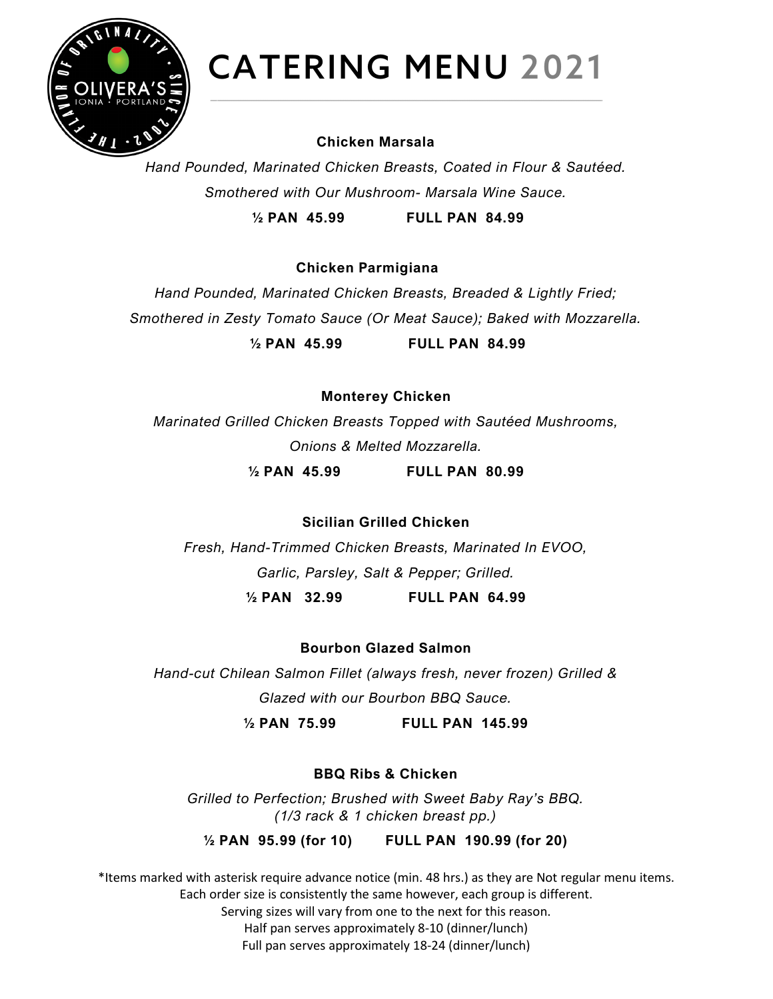

#### **Chicken Marsala**

*Hand Pounded, Marinated Chicken Breasts, Coated in Flour & Sautéed. Smothered with Our Mushroom- Marsala Wine Sauce.* **½ PAN 45.99 FULL PAN 84.99**

**Chicken Parmigiana** 

*Hand Pounded, Marinated Chicken Breasts, Breaded & Lightly Fried; Smothered in Zesty Tomato Sauce (Or Meat Sauce); Baked with Mozzarella.* **½ PAN 45.99 FULL PAN 84.99**

**Monterey Chicken**

*Marinated Grilled Chicken Breasts Topped with Sautéed Mushrooms, Onions & Melted Mozzarella.*

**½ PAN 45.99 FULL PAN 80.99**

**Sicilian Grilled Chicken**

*Fresh, Hand-Trimmed Chicken Breasts, Marinated In EVOO, Garlic, Parsley, Salt & Pepper; Grilled.*

**½ PAN 32.99 FULL PAN 64.99**

**Bourbon Glazed Salmon**

*Hand-cut Chilean Salmon Fillet (always fresh, never frozen) Grilled & Glazed with our Bourbon BBQ Sauce.*

**½ PAN 75.99 FULL PAN 145.99**

### **BBQ Ribs & Chicken**

*Grilled to Perfection; Brushed with Sweet Baby Ray's BBQ. (1/3 rack & 1 chicken breast pp.)*

**½ PAN 95.99 (for 10) FULL PAN 190.99 (for 20)**